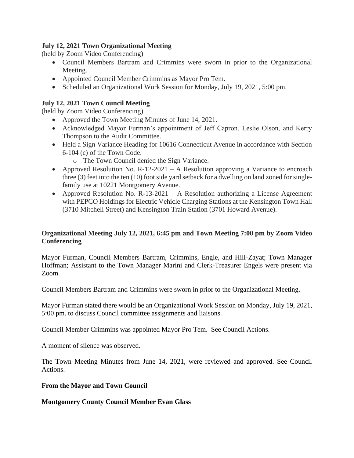## **July 12, 2021 Town Organizational Meeting**

(held by Zoom Video Conferencing)

- Council Members Bartram and Crimmins were sworn in prior to the Organizational Meeting.
- Appointed Council Member Crimmins as Mayor Pro Tem.
- Scheduled an Organizational Work Session for Monday, July 19, 2021, 5:00 pm.

# **July 12, 2021 Town Council Meeting**

(held by Zoom Video Conferencing)

- Approved the Town Meeting Minutes of June 14, 2021.
- Acknowledged Mayor Furman's appointment of Jeff Capron, Leslie Olson, and Kerry Thompson to the Audit Committee.
- Held a Sign Variance Heading for 10616 Connecticut Avenue in accordance with Section 6-104 (c) of the Town Code.
	- o The Town Council denied the Sign Variance.
- Approved Resolution No.  $R-12-2021 A$  Resolution approving a Variance to encroach three (3) feet into the ten (10) foot side yard setback for a dwelling on land zoned for singlefamily use at 10221 Montgomery Avenue.
- Approved Resolution No. R-13-2021 A Resolution authorizing a License Agreement with PEPCO Holdings for Electric Vehicle Charging Stations at the Kensington Town Hall (3710 Mitchell Street) and Kensington Train Station (3701 Howard Avenue).

# **Organizational Meeting July 12, 2021, 6:45 pm and Town Meeting 7:00 pm by Zoom Video Conferencing**

Mayor Furman, Council Members Bartram, Crimmins, Engle, and Hill-Zayat; Town Manager Hoffman; Assistant to the Town Manager Marini and Clerk-Treasurer Engels were present via Zoom.

Council Members Bartram and Crimmins were sworn in prior to the Organizational Meeting.

Mayor Furman stated there would be an Organizational Work Session on Monday, July 19, 2021, 5:00 pm. to discuss Council committee assignments and liaisons.

Council Member Crimmins was appointed Mayor Pro Tem. See Council Actions.

A moment of silence was observed.

The Town Meeting Minutes from June 14, 2021, were reviewed and approved. See Council Actions.

## **From the Mayor and Town Council**

#### **Montgomery County Council Member Evan Glass**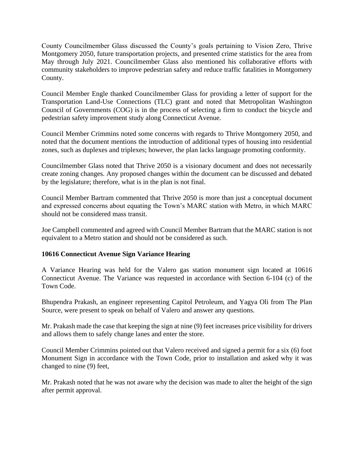County Councilmember Glass discussed the County's goals pertaining to Vision Zero, Thrive Montgomery 2050, future transportation projects, and presented crime statistics for the area from May through July 2021. Councilmember Glass also mentioned his collaborative efforts with community stakeholders to improve pedestrian safety and reduce traffic fatalities in Montgomery County.

Council Member Engle thanked Councilmember Glass for providing a letter of support for the Transportation Land-Use Connections (TLC) grant and noted that Metropolitan Washington Council of Governments (COG) is in the process of selecting a firm to conduct the bicycle and pedestrian safety improvement study along Connecticut Avenue.

Council Member Crimmins noted some concerns with regards to Thrive Montgomery 2050, and noted that the document mentions the introduction of additional types of housing into residential zones, such as duplexes and triplexes; however, the plan lacks language promoting conformity.

Councilmember Glass noted that Thrive 2050 is a visionary document and does not necessarily create zoning changes. Any proposed changes within the document can be discussed and debated by the legislature; therefore, what is in the plan is not final.

Council Member Bartram commented that Thrive 2050 is more than just a conceptual document and expressed concerns about equating the Town's MARC station with Metro, in which MARC should not be considered mass transit.

Joe Campbell commented and agreed with Council Member Bartram that the MARC station is not equivalent to a Metro station and should not be considered as such.

## **10616 Connecticut Avenue Sign Variance Hearing**

A Variance Hearing was held for the Valero gas station monument sign located at 10616 Connecticut Avenue. The Variance was requested in accordance with Section 6-104 (c) of the Town Code.

Bhupendra Prakash, an engineer representing Capitol Petroleum, and Yagya Oli from The Plan Source, were present to speak on behalf of Valero and answer any questions.

Mr. Prakash made the case that keeping the sign at nine (9) feet increases price visibility for drivers and allows them to safely change lanes and enter the store.

Council Member Crimmins pointed out that Valero received and signed a permit for a six (6) foot Monument Sign in accordance with the Town Code, prior to installation and asked why it was changed to nine (9) feet,

Mr. Prakash noted that he was not aware why the decision was made to alter the height of the sign after permit approval.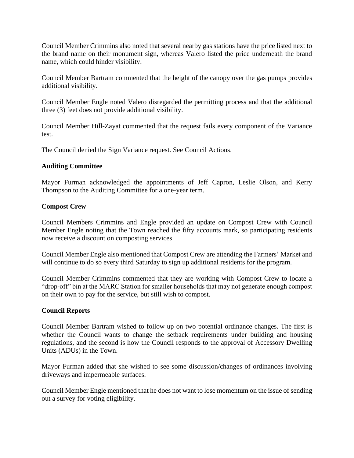Council Member Crimmins also noted that several nearby gas stations have the price listed next to the brand name on their monument sign, whereas Valero listed the price underneath the brand name, which could hinder visibility.

Council Member Bartram commented that the height of the canopy over the gas pumps provides additional visibility.

Council Member Engle noted Valero disregarded the permitting process and that the additional three (3) feet does not provide additional visibility.

Council Member Hill-Zayat commented that the request fails every component of the Variance test.

The Council denied the Sign Variance request. See Council Actions.

## **Auditing Committee**

Mayor Furman acknowledged the appointments of Jeff Capron, Leslie Olson, and Kerry Thompson to the Auditing Committee for a one-year term.

## **Compost Crew**

Council Members Crimmins and Engle provided an update on Compost Crew with Council Member Engle noting that the Town reached the fifty accounts mark, so participating residents now receive a discount on composting services.

Council Member Engle also mentioned that Compost Crew are attending the Farmers' Market and will continue to do so every third Saturday to sign up additional residents for the program.

Council Member Crimmins commented that they are working with Compost Crew to locate a "drop-off" bin at the MARC Station for smaller households that may not generate enough compost on their own to pay for the service, but still wish to compost.

#### **Council Reports**

Council Member Bartram wished to follow up on two potential ordinance changes. The first is whether the Council wants to change the setback requirements under building and housing regulations, and the second is how the Council responds to the approval of Accessory Dwelling Units (ADUs) in the Town.

Mayor Furman added that she wished to see some discussion/changes of ordinances involving driveways and impermeable surfaces.

Council Member Engle mentioned that he does not want to lose momentum on the issue of sending out a survey for voting eligibility.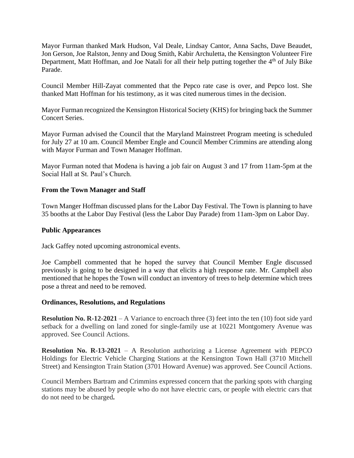Mayor Furman thanked Mark Hudson, Val Deale, Lindsay Cantor, Anna Sachs, Dave Beaudet, Jon Gerson, Joe Ralston, Jenny and Doug Smith, Kabir Archuletta, the Kensington Volunteer Fire Department, Matt Hoffman, and Joe Natali for all their help putting together the 4<sup>th</sup> of July Bike Parade.

Council Member Hill-Zayat commented that the Pepco rate case is over, and Pepco lost. She thanked Matt Hoffman for his testimony, as it was cited numerous times in the decision.

Mayor Furman recognized the Kensington Historical Society (KHS) for bringing back the Summer Concert Series.

Mayor Furman advised the Council that the Maryland Mainstreet Program meeting is scheduled for July 27 at 10 am. Council Member Engle and Council Member Crimmins are attending along with Mayor Furman and Town Manager Hoffman.

Mayor Furman noted that Modena is having a job fair on August 3 and 17 from 11am-5pm at the Social Hall at St. Paul's Church.

## **From the Town Manager and Staff**

Town Manger Hoffman discussed plans for the Labor Day Festival. The Town is planning to have 35 booths at the Labor Day Festival (less the Labor Day Parade) from 11am-3pm on Labor Day.

#### **Public Appearances**

Jack Gaffey noted upcoming astronomical events.

Joe Campbell commented that he hoped the survey that Council Member Engle discussed previously is going to be designed in a way that elicits a high response rate. Mr. Campbell also mentioned that he hopes the Town will conduct an inventory of trees to help determine which trees pose a threat and need to be removed.

#### **Ordinances, Resolutions, and Regulations**

**Resolution No. R-12-2021** – A Variance to encroach three (3) feet into the ten (10) foot side yard setback for a dwelling on land zoned for single-family use at 10221 Montgomery Avenue was approved. See Council Actions.

**Resolution No. R-13-2021** – A Resolution authorizing a License Agreement with PEPCO Holdings for Electric Vehicle Charging Stations at the Kensington Town Hall (3710 Mitchell Street) and Kensington Train Station (3701 Howard Avenue) was approved. See Council Actions.

Council Members Bartram and Crimmins expressed concern that the parking spots with charging stations may be abused by people who do not have electric cars, or people with electric cars that do not need to be charged**.**